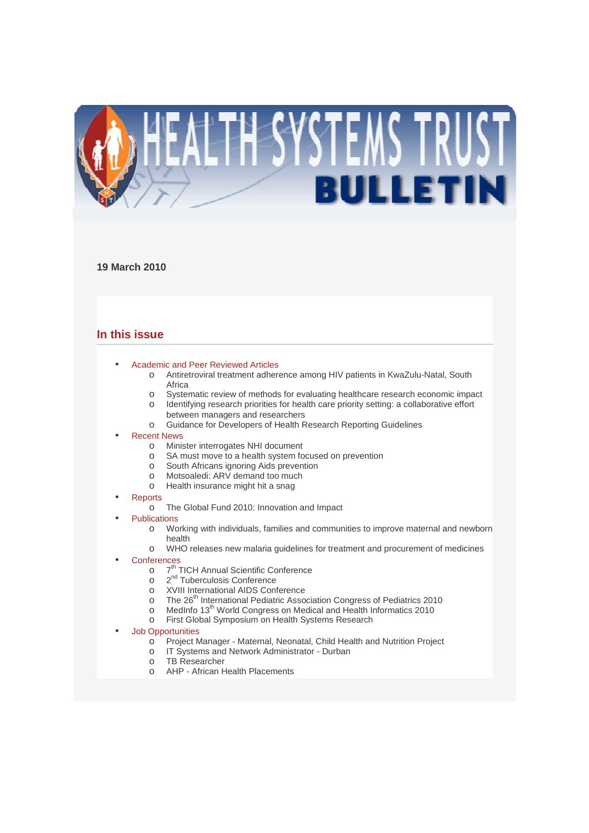

**19 March 2010**

# **In this issue**

- Academic and Peer Reviewed Articles
	- o Antiretroviral treatment adherence among HIV patients in KwaZulu-Natal, South Africa
	- o Systematic review of methods for evaluating healthcare research economic impact
	- o Identifying research priorities for health care priority setting: a collaborative effort between managers and researchers
	- o Guidance for Developers of Health Research Reporting Guidelines
- **Recent News** 
	- o Minister interrogates NHI document
	- o SA must move to a health system focused on prevention
	- o South Africans ignoring Aids prevention
	- o Motsoaledi: ARV demand too much
	- o Health insurance might hit a snag
- **Reports** 
	- o The Global Fund 2010: Innovation and Impact
- **Publications** 
	- o Working with individuals, families and communities to improve maternal and newborn health
	- o WHO releases new malaria guidelines for treatment and procurement of medicines
- **Conferences** 
	- o 7<sup>th</sup> TICH Annual Scientific Conference
	- o 2<sup>nd</sup> Tuberculosis Conference
	- o XVIII International AIDS Conference
	- o The 26<sup>th</sup> International Pediatric Association Congress of Pediatrics 2010
	- o MedInfo 13<sup>th</sup> World Congress on Medical and Health Informatics 2010
	- o First Global Symposium on Health Systems Research
- **Job Opportunities** 
	- o Project Manager Maternal, Neonatal, Child Health and Nutrition Project
	- o IT Systems and Network Administrator Durban
	- o TB Researcher
	- o AHP African Health Placements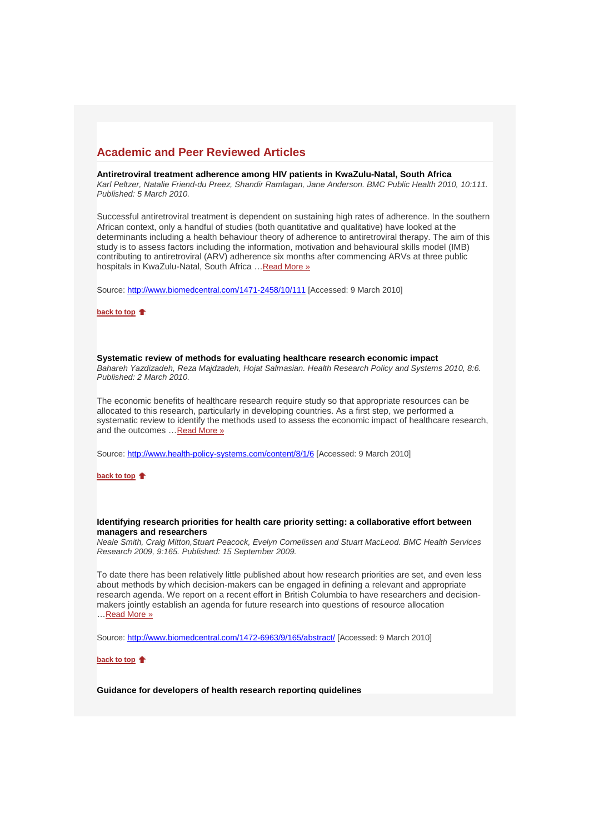# **Academic and Peer Reviewed Articles**

#### **Antiretroviral treatment adherence among HIV patients in KwaZulu-Natal, South Africa**

Karl Peltzer, Natalie Friend-du Preez, Shandir Ramlagan, Jane Anderson. BMC Public Health 2010, 10:111. Published: 5 March 2010.

Successful antiretroviral treatment is dependent on sustaining high rates of adherence. In the southern African context, only a handful of studies (both quantitative and qualitative) have looked at the determinants including a health behaviour theory of adherence to antiretroviral therapy. The aim of this study is to assess factors including the information, motivation and behavioural skills model (IMB) contributing to antiretroviral (ARV) adherence six months after commencing ARVs at three public hospitals in KwaZulu-Natal, South Africa …Read More »

Source: http://www.biomedcentral.com/1471-2458/10/111 [Accessed: 9 March 2010]

#### **back to top**  $\triangle$

**Systematic review of methods for evaluating healthcare research economic impact**  Bahareh Yazdizadeh, Reza Majdzadeh, Hojat Salmasian. Health Research Policy and Systems 2010, 8:6. Published: 2 March 2010.

The economic benefits of healthcare research require study so that appropriate resources can be allocated to this research, particularly in developing countries. As a first step, we performed a systematic review to identify the methods used to assess the economic impact of healthcare research, and the outcomes …Read More »

Source: http://www.health-policy-systems.com/content/8/1/6 [Accessed: 9 March 2010]

**back to top**

### **Identifying research priorities for health care priority setting: a collaborative effort between managers and researchers**

Neale Smith, Craig Mitton,Stuart Peacock, Evelyn Cornelissen and Stuart MacLeod. BMC Health Services Research 2009, 9:165. Published: 15 September 2009.

To date there has been relatively little published about how research priorities are set, and even less about methods by which decision-makers can be engaged in defining a relevant and appropriate research agenda. We report on a recent effort in British Columbia to have researchers and decisionmakers jointly establish an agenda for future research into questions of resource allocation …Read More »

Source: http://www.biomedcentral.com/1472-6963/9/165/abstract/ [Accessed: 9 March 2010]

**back to top**

**Guidance for developers of health research reporting guidelines**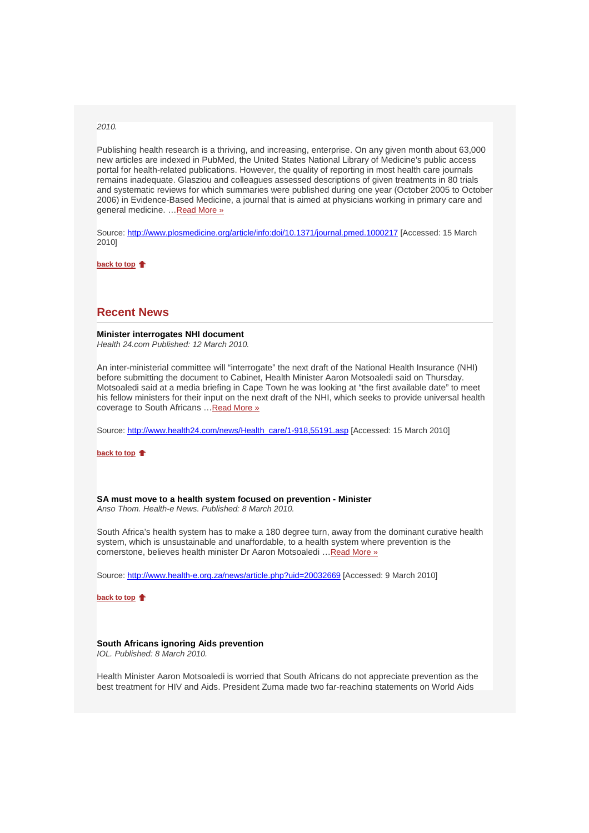### 2010.

Publishing health research is a thriving, and increasing, enterprise. On any given month about 63,000 new articles are indexed in PubMed, the United States National Library of Medicine's public access portal for health-related publications. However, the quality of reporting in most health care journals remains inadequate. Glasziou and colleagues assessed descriptions of given treatments in 80 trials and systematic reviews for which summaries were published during one year (October 2005 to October 2006) in Evidence-Based Medicine, a journal that is aimed at physicians working in primary care and general medicine. …Read More »

Source: http://www.plosmedicine.org/article/info:doi/10.1371/journal.pmed.1000217 [Accessed: 15 March 2010]

**back to top**

## **Recent News**

**Minister interrogates NHI document**  Health 24.com Published: 12 March 2010.

An inter-ministerial committee will "interrogate" the next draft of the National Health Insurance (NHI) before submitting the document to Cabinet, Health Minister Aaron Motsoaledi said on Thursday. Motsoaledi said at a media briefing in Cape Town he was looking at "the first available date" to meet his fellow ministers for their input on the next draft of the NHI, which seeks to provide universal health coverage to South Africans …Read More »

Source: http://www.health24.com/news/Health\_care/1-918,55191.asp [Accessed: 15 March 2010]

**back to top**

**SA must move to a health system focused on prevention - Minister** 

Anso Thom. Health-e News. Published: 8 March 2010.

South Africa's health system has to make a 180 degree turn, away from the dominant curative health system, which is unsustainable and unaffordable, to a health system where prevention is the cornerstone, believes health minister Dr Aaron Motsoaledi …Read More »

Source: http://www.health-e.org.za/news/article.php?uid=20032669 [Accessed: 9 March 2010]

**back to top**

**South Africans ignoring Aids prevention**  IOL. Published: 8 March 2010.

Health Minister Aaron Motsoaledi is worried that South Africans do not appreciate prevention as the best treatment for HIV and Aids. President Zuma made two far-reaching statements on World Aids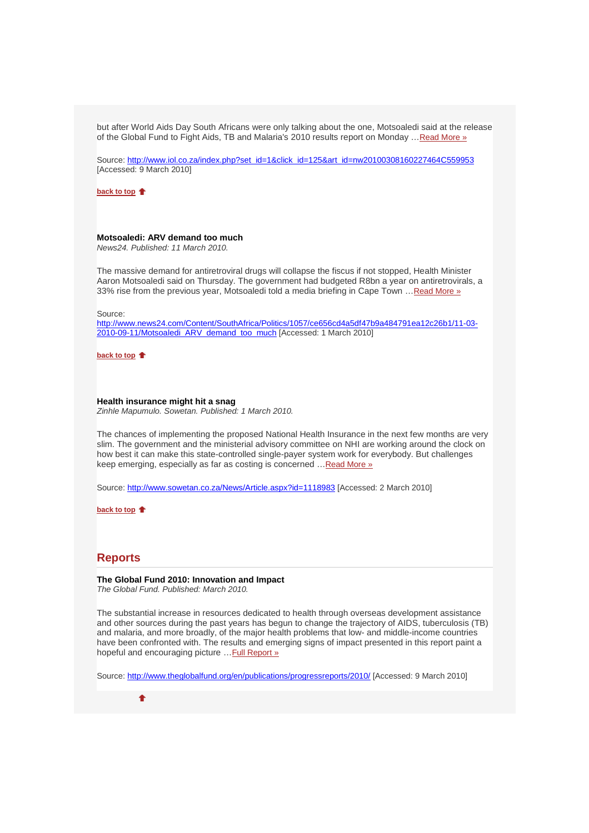but after World Aids Day South Africans were only talking about the one, Motsoaledi said at the release of the Global Fund to Fight Aids, TB and Malaria's 2010 results report on Monday …Read More »

Source: http://www.iol.co.za/index.php?set\_id=1&click\_id=125&art\_id=nw20100308160227464C559953 [Accessed: 9 March 2010]

**back to top**

## **Motsoaledi: ARV demand too much**

News24. Published: 11 March 2010.

The massive demand for antiretroviral drugs will collapse the fiscus if not stopped, Health Minister Aaron Motsoaledi said on Thursday. The government had budgeted R8bn a year on antiretrovirals, a 33% rise from the previous year, Motsoaledi told a media briefing in Cape Town …Read More »

Source:

http://www.news24.com/Content/SouthAfrica/Politics/1057/ce656cd4a5df47b9a484791ea12c26b1/11-03- 2010-09-11/Motsoaledi\_ARV\_demand\_too\_much [Accessed: 1 March 2010]

**back to top**  $\triangle$ 

#### **Health insurance might hit a snag**

Zinhle Mapumulo. Sowetan. Published: 1 March 2010.

The chances of implementing the proposed National Health Insurance in the next few months are very slim. The government and the ministerial advisory committee on NHI are working around the clock on how best it can make this state-controlled single-payer system work for everybody. But challenges keep emerging, especially as far as costing is concerned …Read More »

Source: http://www.sowetan.co.za/News/Article.aspx?id=1118983 [Accessed: 2 March 2010]

**back to top**

# **Reports**

### **The Global Fund 2010: Innovation and Impact**

The Global Fund. Published: March 2010.

The substantial increase in resources dedicated to health through overseas development assistance and other sources during the past years has begun to change the trajectory of AIDS, tuberculosis (TB) and malaria, and more broadly, of the major health problems that low- and middle-income countries have been confronted with. The results and emerging signs of impact presented in this report paint a hopeful and encouraging picture ... Full Report »

Source: http://www.theglobalfund.org/en/publications/progressreports/2010/ [Accessed: 9 March 2010]

٠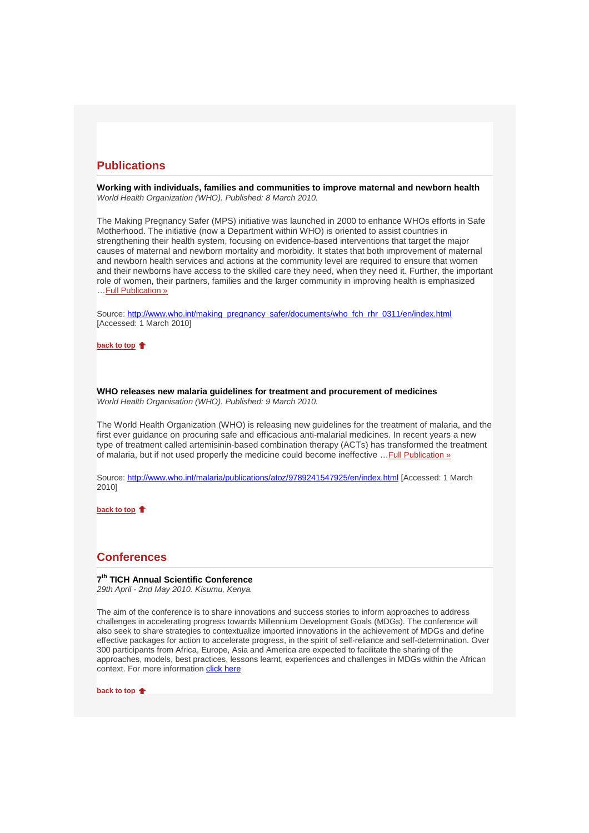# **Publications**

**Working with individuals, families and communities to improve maternal and newborn health**  World Health Organization (WHO). Published: 8 March 2010.

The Making Pregnancy Safer (MPS) initiative was launched in 2000 to enhance WHOs efforts in Safe Motherhood. The initiative (now a Department within WHO) is oriented to assist countries in strengthening their health system, focusing on evidence-based interventions that target the major causes of maternal and newborn mortality and morbidity. It states that both improvement of maternal and newborn health services and actions at the community level are required to ensure that women and their newborns have access to the skilled care they need, when they need it. Further, the important role of women, their partners, families and the larger community in improving health is emphasized …Full Publication »

Source: http://www.who.int/making\_pregnancy\_safer/documents/who\_fch\_rhr\_0311/en/index.html [Accessed: 1 March 2010]

**back to top**  $\triangleq$ 

**WHO releases new malaria guidelines for treatment and procurement of medicines**  World Health Organisation (WHO). Published: 9 March 2010.

The World Health Organization (WHO) is releasing new guidelines for the treatment of malaria, and the first ever guidance on procuring safe and efficacious anti-malarial medicines. In recent years a new type of treatment called artemisinin-based combination therapy (ACTs) has transformed the treatment of malaria, but if not used properly the medicine could become ineffective …Full Publication »

Source: http://www.who.int/malaria/publications/atoz/9789241547925/en/index.html [Accessed: 1 March 2010]

**back to top**

# **Conferences**

## **7 th TICH Annual Scientific Conference**

29th April - 2nd May 2010. Kisumu, Kenya.

The aim of the conference is to share innovations and success stories to inform approaches to address challenges in accelerating progress towards Millennium Development Goals (MDGs). The conference will also seek to share strategies to contextualize imported innovations in the achievement of MDGs and define effective packages for action to accelerate progress, in the spirit of self-reliance and self-determination. Over 300 participants from Africa, Europe, Asia and America are expected to facilitate the sharing of the approaches, models, best practices, lessons learnt, experiences and challenges in MDGs within the African context. For more information click here

**back to top**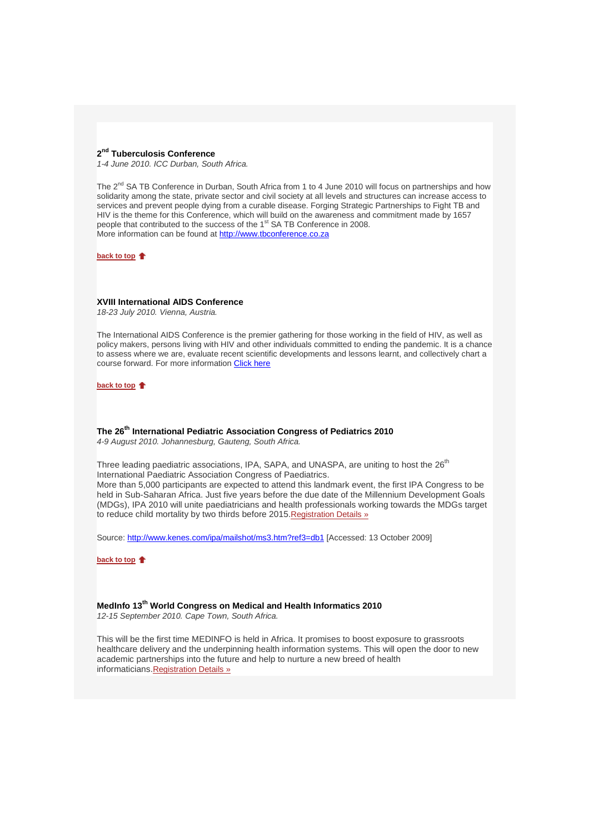## **2 nd Tuberculosis Conference**

1-4 June 2010. ICC Durban, South Africa.

The 2<sup>nd</sup> SA TB Conference in Durban, South Africa from 1 to 4 June 2010 will focus on partnerships and how solidarity among the state, private sector and civil society at all levels and structures can increase access to services and prevent people dying from a curable disease. Forging Strategic Partnerships to Fight TB and HIV is the theme for this Conference, which will build on the awareness and commitment made by 1657 people that contributed to the success of the 1<sup>st</sup> SA TB Conference in 2008. More information can be found at http://www.tbconference.co.za

**back to top**

### **XVIII International AIDS Conference**

18-23 July 2010. Vienna, Austria.

The International AIDS Conference is the premier gathering for those working in the field of HIV, as well as policy makers, persons living with HIV and other individuals committed to ending the pandemic. It is a chance to assess where we are, evaluate recent scientific developments and lessons learnt, and collectively chart a course forward. For more information Click here

**back to top**

## **The 26th International Pediatric Association Congress of Pediatrics 2010**

4-9 August 2010. Johannesburg, Gauteng, South Africa.

Three leading paediatric associations, IPA, SAPA, and UNASPA, are uniting to host the  $26<sup>th</sup>$ International Paediatric Association Congress of Paediatrics. More than 5,000 participants are expected to attend this landmark event, the first IPA Congress to be held in Sub-Saharan Africa. Just five years before the due date of the Millennium Development Goals (MDGs), IPA 2010 will unite paediatricians and health professionals working towards the MDGs target to reduce child mortality by two thirds before 2015. Registration Details »

Source: http://www.kenes.com/ipa/mailshot/ms3.htm?ref3=db1 [Accessed: 13 October 2009]

**back to top**

**MedInfo 13th World Congress on Medical and Health Informatics 2010** 

12-15 September 2010. Cape Town, South Africa.

This will be the first time MEDINFO is held in Africa. It promises to boost exposure to grassroots healthcare delivery and the underpinning health information systems. This will open the door to new academic partnerships into the future and help to nurture a new breed of health informaticians.Registration Details »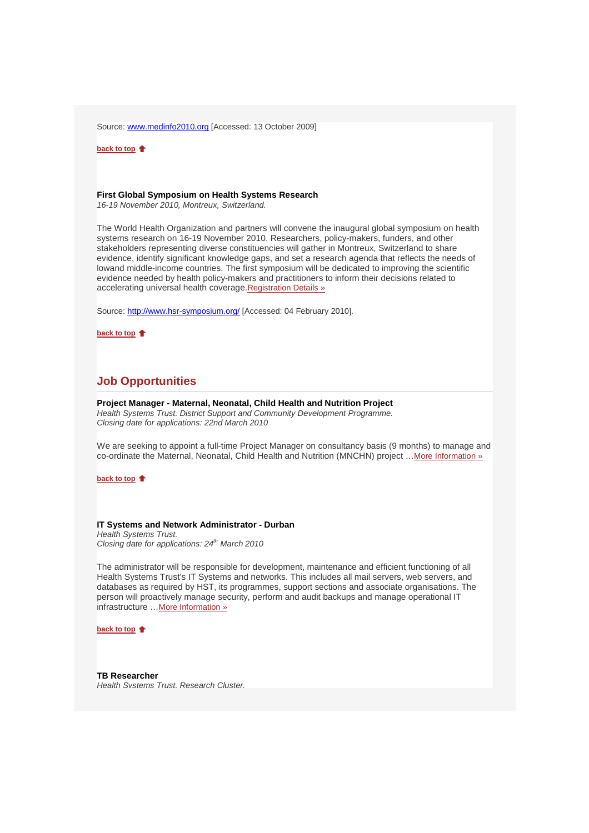Source: www.medinfo2010.org [Accessed: 13 October 2009]

**back to top**

### **First Global Symposium on Health Systems Research**

16-19 November 2010, Montreux, Switzerland.

The World Health Organization and partners will convene the inaugural global symposium on health systems research on 16-19 November 2010. Researchers, policy-makers, funders, and other stakeholders representing diverse constituencies will gather in Montreux, Switzerland to share evidence, identify significant knowledge gaps, and set a research agenda that reflects the needs of lowand middle-income countries. The first symposium will be dedicated to improving the scientific evidence needed by health policy-makers and practitioners to inform their decisions related to accelerating universal health coverage.Registration Details »

Source: http://www.hsr-symposium.org/ [Accessed: 04 February 2010].

**back to top**

# **Job Opportunities**

**Project Manager - Maternal, Neonatal, Child Health and Nutrition Project**  Health Systems Trust. District Support and Community Development Programme. Closing date for applications: 22nd March 2010

We are seeking to appoint a full-time Project Manager on consultancy basis (9 months) to manage and co-ordinate the Maternal, Neonatal, Child Health and Nutrition (MNCHN) project …More Information »

#### **back to top**

#### **IT Systems and Network Administrator - Durban**

Health Systems Trust. Closing date for applications:  $24<sup>th</sup>$  March 2010

The administrator will be responsible for development, maintenance and efficient functioning of all Health Systems Trust's IT Systems and networks. This includes all mail servers, web servers, and databases as required by HST, its programmes, support sections and associate organisations. The person will proactively manage security, perform and audit backups and manage operational IT infrastructure …More Information »

**back to top**

**TB Researcher**  Health Systems Trust. Research Cluster.